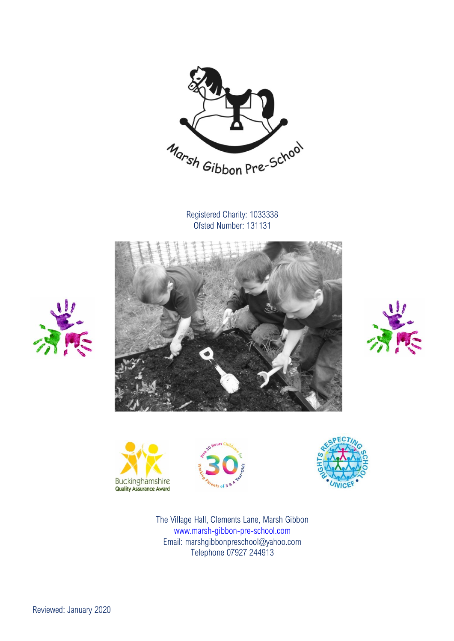

Registered Charity: 1033338 Ofsted Number: 131131













The Village Hall, Clements Lane, Marsh Gibbon [www.marsh-gibbon-pre-school.com](http://www.marsh-gibbon-pre-school.com/) Email: marshgibbonpreschool@yahoo.com Telephone 07927 244913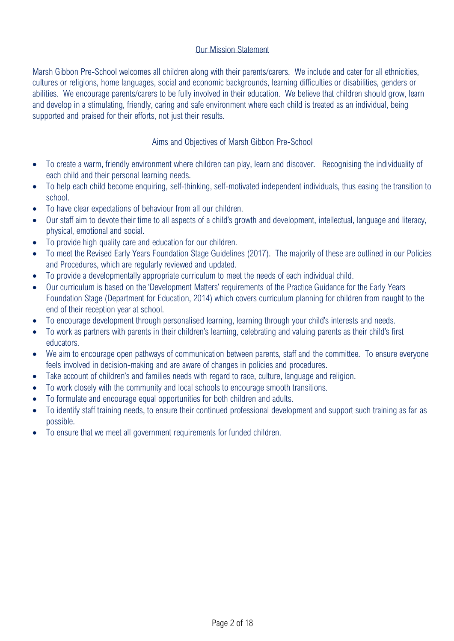# Our Mission Statement

Marsh Gibbon Pre-School welcomes all children along with their parents/carers. We include and cater for all ethnicities, cultures or religions, home languages, social and economic backgrounds, learning difficulties or disabilities, genders or abilities. We encourage parents/carers to be fully involved in their education. We believe that children should grow, learn and develop in a stimulating, friendly, caring and safe environment where each child is treated as an individual, being supported and praised for their efforts, not just their results.

### Aims and Objectives of Marsh Gibbon Pre-School

- To create a warm, friendly environment where children can play, learn and discover. Recognising the individuality of each child and their personal learning needs.
- To help each child become enquiring, self-thinking, self-motivated independent individuals, thus easing the transition to school.
- To have clear expectations of behaviour from all our children.
- Our staff aim to devote their time to all aspects of a child's growth and development, intellectual, language and literacy, physical, emotional and social.
- To provide high quality care and education for our children.
- To meet the Revised Early Years Foundation Stage Guidelines (2017). The majority of these are outlined in our Policies and Procedures, which are regularly reviewed and updated.
- To provide a developmentally appropriate curriculum to meet the needs of each individual child.
- Our curriculum is based on the 'Development Matters' requirements of the Practice Guidance for the Early Years Foundation Stage (Department for Education, 2014) which covers curriculum planning for children from naught to the end of their reception year at school.
- To encourage development through personalised learning, learning through your child's interests and needs.
- To work as partners with parents in their children's learning, celebrating and valuing parents as their child's first educators.
- We aim to encourage open pathways of communication between parents, staff and the committee. To ensure everyone feels involved in decision-making and are aware of changes in policies and procedures.
- Take account of children's and families needs with regard to race, culture, language and religion.
- To work closely with the community and local schools to encourage smooth transitions.
- To formulate and encourage equal opportunities for both children and adults.
- To identify staff training needs, to ensure their continued professional development and support such training as far as possible.
- To ensure that we meet all government requirements for funded children.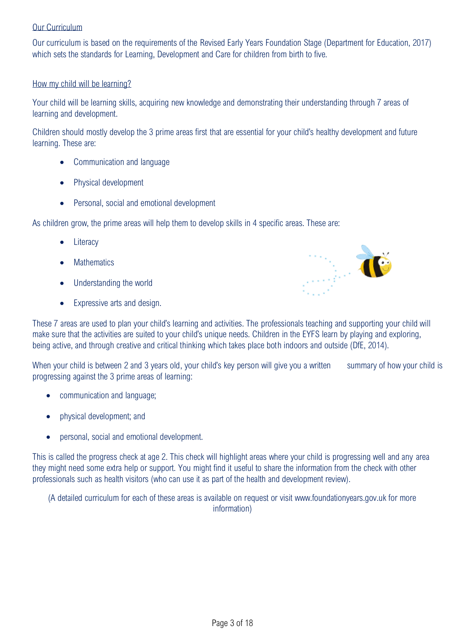# Our Curriculum

Our curriculum is based on the requirements of the Revised Early Years Foundation Stage (Department for Education, 2017) which sets the standards for Learning, Development and Care for children from birth to five.

# How my child will be learning?

Your child will be learning skills, acquiring new knowledge and demonstrating their understanding through 7 areas of learning and development.

Children should mostly develop the 3 prime areas first that are essential for your child's healthy development and future learning. These are:

- Communication and language
- Physical development
- Personal, social and emotional development

As children grow, the prime areas will help them to develop skills in 4 specific areas. These are:

- **Literacy**
- **Mathematics**
- Understanding the world
- Expressive arts and design.



These 7 areas are used to plan your child's learning and activities. The professionals teaching and supporting your child will make sure that the activities are suited to your child's unique needs. Children in the EYFS learn by playing and exploring, being active, and through creative and critical thinking which takes place both indoors and outside (DfE, 2014).

When your child is between 2 and 3 years old, your child's key person will give you a written summary of how your child is progressing against the 3 prime areas of learning:

- communication and language;
- physical development; and
- personal, social and emotional development.

This is called the progress check at age 2. This check will highlight areas where your child is progressing well and any area they might need some extra help or support. You might find it useful to share the information from the check with other professionals such as health visitors (who can use it as part of the health and development review).

(A detailed curriculum for each of these areas is available on request or visit www.foundationyears.gov.uk for more information)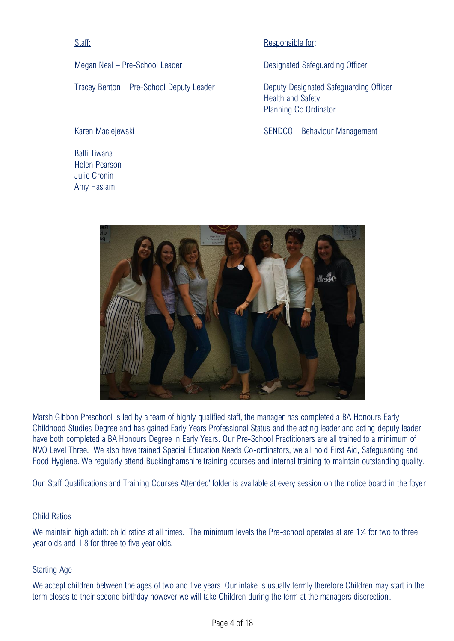Staff:

Megan Neal – Pre-School Leader

Tracey Benton – Pre-School Deputy Leader

Karen Maciejewski

Balli Tiwana Helen Pearson Julie Cronin Amy Haslam

# Responsible for:

Designated Safeguarding Officer

Deputy Designated Safeguarding Officer Health and Safety Planning Co Ordinator

SENDCO + Behaviour Management



Marsh Gibbon Preschool is led by a team of highly qualified staff, the manager has completed a BA Honours Early Childhood Studies Degree and has gained Early Years Professional Status and the acting leader and acting deputy leader have both completed a BA Honours Degree in Early Years. Our Pre-School Practitioners are all trained to a minimum of NVQ Level Three. We also have trained Special Education Needs Co-ordinators, we all hold First Aid, Safeguarding and Food Hygiene. We regularly attend Buckinghamshire training courses and internal training to maintain outstanding quality.

Our 'Staff Qualifications and Training Courses Attended' folder is available at every session on the notice board in the foyer.

### Child Ratios

We maintain high adult: child ratios at all times. The minimum levels the Pre-school operates at are 1:4 for two to three year olds and 1:8 for three to five year olds.

# Starting Age

We accept children between the ages of two and five years. Our intake is usually termly therefore Children may start in the term closes to their second birthday however we will take Children during the term at the managers discrection.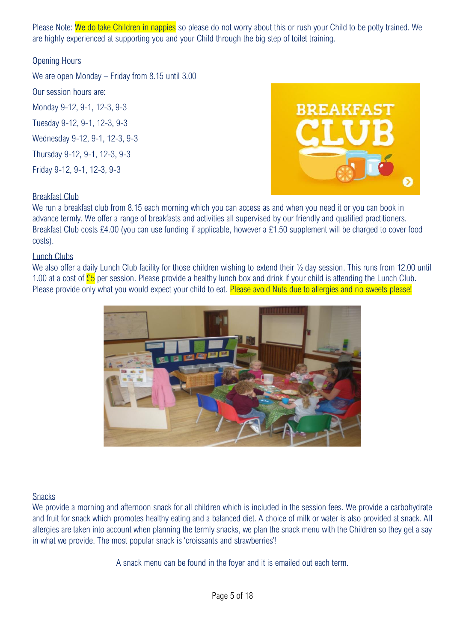Please Note: We do take Children in nappies so please do not worry about this or rush your Child to be potty trained. We are highly experienced at supporting you and your Child through the big step of toilet training.

# Opening Hours

We are open Monday – Friday from 8.15 until 3.00

Our session hours are: Monday 9-12, 9-1, 12-3, 9-3 Tuesday 9-12, 9-1, 12-3, 9-3 Wednesday 9-12, 9-1, 12-3, 9-3 Thursday 9-12, 9-1, 12-3, 9-3 Friday 9-12, 9-1, 12-3, 9-3



# Breakfast Club

We run a breakfast club from 8.15 each morning which you can access as and when you need it or you can book in advance termly. We offer a range of breakfasts and activities all supervised by our friendly and qualified practitioners. Breakfast Club costs £4.00 (you can use funding if applicable, however a £1.50 supplement will be charged to cover food costs).

### Lunch Clubs

We also offer a daily Lunch Club facility for those children wishing to extend their  $\frac{1}{2}$  day session. This runs from 12.00 until 1.00 at a cost of  $E5$  per session. Please provide a healthy lunch box and drink if your child is attending the Lunch Club. Please provide only what you would expect your child to eat. Please avoid Nuts due to allergies and no sweets please!



### **Snacks**

We provide a morning and afternoon snack for all children which is included in the session fees. We provide a carbohydrate and fruit for snack which promotes healthy eating and a balanced diet. A choice of milk or water is also provided at snack. All allergies are taken into account when planning the termly snacks, we plan the snack menu with the Children so they get a say in what we provide. The most popular snack is 'croissants and strawberries'!

A snack menu can be found in the foyer and it is emailed out each term.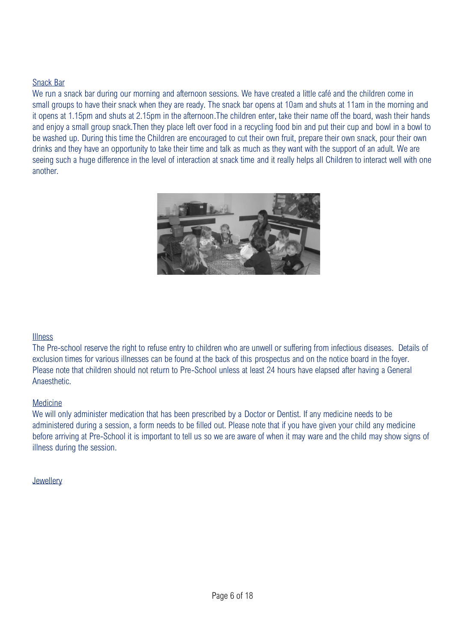# Snack Bar

We run a snack bar during our morning and afternoon sessions. We have created a little café and the children come in small groups to have their snack when they are ready. The snack bar opens at 10am and shuts at 11am in the morning and it opens at 1.15pm and shuts at 2.15pm in the afternoon.The children enter, take their name off the board, wash their hands and enjoy a small group snack.Then they place left over food in a recycling food bin and put their cup and bowl in a bowl to be washed up. During this time the Children are encouraged to cut their own fruit, prepare their own snack, pour their own drinks and they have an opportunity to take their time and talk as much as they want with the support of an adult. We are seeing such a huge difference in the level of interaction at snack time and it really helps all Children to interact well with one another.



### Illness

The Pre-school reserve the right to refuse entry to children who are unwell or suffering from infectious diseases. Details of exclusion times for various illnesses can be found at the back of this prospectus and on the notice board in the foyer. Please note that children should not return to Pre-School unless at least 24 hours have elapsed after having a General **Anaesthetic.** 

### Medicine

We will only administer medication that has been prescribed by a Doctor or Dentist. If any medicine needs to be administered during a session, a form needs to be filled out. Please note that if you have given your child any medicine before arriving at Pre-School it is important to tell us so we are aware of when it may ware and the child may show signs of illness during the session.

### **Jewellery**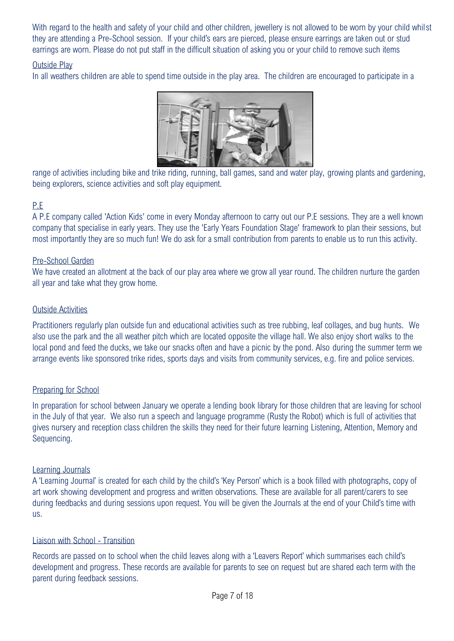With regard to the health and safety of your child and other children, jewellery is not allowed to be worn by your child whilst they are attending a Pre-School session. If your child's ears are pierced, please ensure earrings are taken out or stud earrings are worn. Please do not put staff in the difficult situation of asking you or your child to remove such items

# Outside Play

In all weathers children are able to spend time outside in the play area. The children are encouraged to participate in a



range of activities including bike and trike riding, running, ball games, sand and water play, growing plants and gardening, being explorers, science activities and soft play equipment.

# P.E

A P.E company called 'Action Kids' come in every Monday afternoon to carry out our P.E sessions. They are a well known company that specialise in early years. They use the 'Early Years Foundation Stage' framework to plan their sessions, but most importantly they are so much fun! We do ask for a small contribution from parents to enable us to run this activity.

# Pre-School Garden

We have created an allotment at the back of our play area where we grow all year round. The children nurture the garden all year and take what they grow home.

# Outside Activities

Practitioners regularly plan outside fun and educational activities such as tree rubbing, leaf collages, and bug hunts. We also use the park and the all weather pitch which are located opposite the village hall. We also enjoy short walks to the local pond and feed the ducks, we take our snacks often and have a picnic by the pond. Also during the summer term we arrange events like sponsored trike rides, sports days and visits from community services, e.g. fire and police services.

# Preparing for School

In preparation for school between January we operate a lending book library for those children that are leaving for school in the July of that year. We also run a speech and language programme (Rusty the Robot) which is full of activities that gives nursery and reception class children the skills they need for their future learning Listening, Attention, Memory and Sequencing.

### Learning Journals

A 'Learning Journal' is created for each child by the child's 'Key Person' which is a book filled with photographs, copy of art work showing development and progress and written observations. These are available for all parent/carers to see during feedbacks and during sessions upon request. You will be given the Journals at the end of your Child's time with us.

### Liaison with School - Transition

Records are passed on to school when the child leaves along with a 'Leavers Report' which summarises each child's development and progress. These records are available for parents to see on request but are shared each term with the parent during feedback sessions.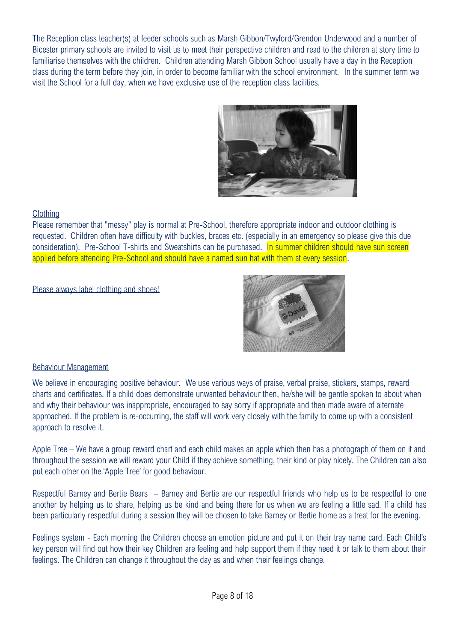The Reception class teacher(s) at feeder schools such as Marsh Gibbon/Twyford/Grendon Underwood and a number of Bicester primary schools are invited to visit us to meet their perspective children and read to the children at story time to familiarise themselves with the children. Children attending Marsh Gibbon School usually have a day in the Reception class during the term before they join, in order to become familiar with the school environment. In the summer term we visit the School for a full day, when we have exclusive use of the reception class facilities.



# **Clothing**

Please remember that "messy" play is normal at Pre-School, therefore appropriate indoor and outdoor clothing is requested. Children often have difficulty with buckles, braces etc. (especially in an emergency so please give this due consideration). Pre-School T-shirts and Sweatshirts can be purchased. In summer children should have sun screen applied before attending Pre-School and should have a named sun hat with them at every session.

### Please always label clothing and shoes!



# Behaviour Management

We believe in encouraging positive behaviour. We use various ways of praise, verbal praise, stickers, stamps, reward charts and certificates. If a child does demonstrate unwanted behaviour then, he/she will be gentle spoken to about when and why their behaviour was inappropriate, encouraged to say sorry if appropriate and then made aware of alternate approached. If the problem is re-occurring, the staff will work very closely with the family to come up with a consistent approach to resolve it.

Apple Tree – We have a group reward chart and each child makes an apple which then has a photograph of them on it and throughout the session we will reward your Child if they achieve something, their kind or play nicely. The Children can also put each other on the 'Apple Tree' for good behaviour.

Respectful Barney and Bertie Bears – Barney and Bertie are our respectful friends who help us to be respectful to one another by helping us to share, helping us be kind and being there for us when we are feeling a little sad. If a child has been particularly respectful during a session they will be chosen to take Barney or Bertie home as a treat for the evening.

Feelings system - Each morning the Children choose an emotion picture and put it on their tray name card. Each Child's key person will find out how their key Children are feeling and help support them if they need it or talk to them about their feelings. The Children can change it throughout the day as and when their feelings change.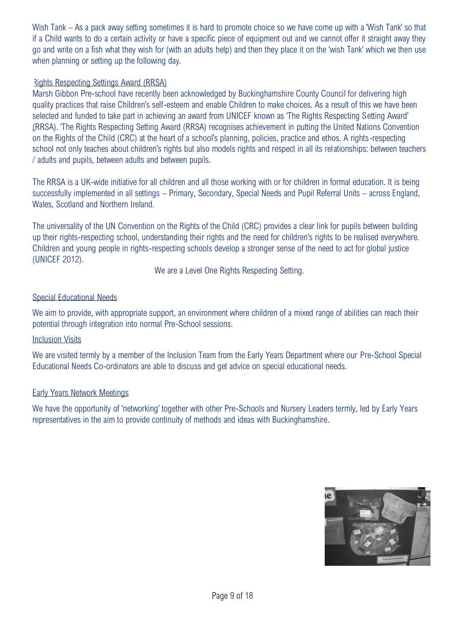Wish Tank – As a pack away setting sometimes it is hard to promote choice so we have come up with a 'Wish Tank' so that if a Child wants to do a certain activity or have a specific piece of equipment out and we cannot offer it straight away they go and write on a fish what they wish for (with an adults help) and then they place it on the 'wish Tank' which we then use when planning or setting up the following day.

# Rights Respecting Settings Award (RRSA)

Marsh Gibbon Pre-school have recently been acknowledged by Buckinghamshire County Council for delivering high quality practices that raise Children's self-esteem and enable Children to make choices. As a result of this we have been selected and funded to take part in achieving an award from UNICEF known as 'The Rights Respecting Setting Award' (RRSA). 'The Rights Respecting Setting Award (RRSA) recognises achievement in putting the United Nations Convention on the Rights of the Child (CRC) at the heart of a school's planning, policies, practice and ethos. A rights-respecting school not only teaches about children's rights but also models rights and respect in all its relationships: between teachers / adults and pupils, between adults and between pupils.

The RRSA is a UK-wide initiative for all children and all those working with or for children in formal education. It is being successfully implemented in all settings – Primary, Secondary, Special Needs and Pupil Referral Units – across England, Wales, Scotland and Northern Ireland.

The universality of the UN Convention on the Rights of the Child (CRC) provides a clear link for pupils between building up their rights-respecting school, understanding their rights and the need for children's rights to be realised everywhere. Children and young people in rights-respecting schools develop a stronger sense of the need to act for global justice (UNICEF 2012).

We are a Level One Rights Respecting Setting.

# Special Educational Needs

We aim to provide, with appropriate support, an environment where children of a mixed range of abilities can reach their potential through integration into normal Pre-School sessions.

### Inclusion Visits

We are visited termly by a member of the Inclusion Team from the Early Years Department where our Pre-School Special Educational Needs Co-ordinators are able to discuss and get advice on special educational needs.

### Early Years Network Meetings

We have the opportunity of 'networking' together with other Pre-Schools and Nursery Leaders termly, led by Early Years representatives in the aim to provide continuity of methods and ideas with Buckinghamshire.

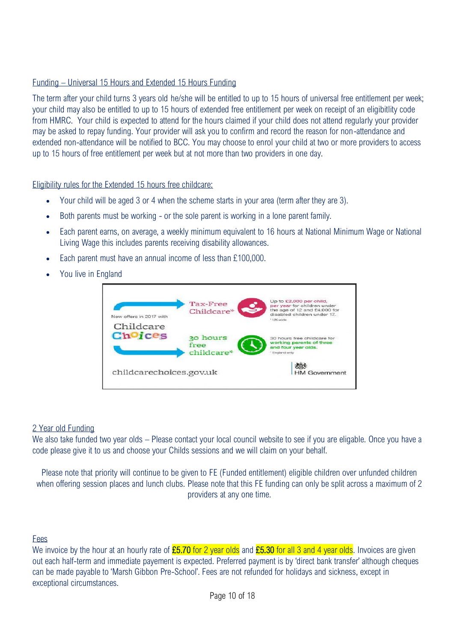# Funding – Universal 15 Hours and Extended 15 Hours Funding

The term after your child turns 3 years old he/she will be entitled to up to 15 hours of universal free entitlement per week; your child may also be entitled to up to 15 hours of extended free entitlement per week on receipt of an eligibitlity code from HMRC. Your child is expected to attend for the hours claimed if your child does not attend regularly your provider may be asked to repay funding. Your provider will ask you to confirm and record the reason for non-attendance and extended non-attendance will be notified to BCC. You may choose to enrol your child at two or more providers to access up to 15 hours of free entitlement per week but at not more than two providers in one day.

Eligibility rules for the Extended 15 hours free childcare:

- Your child will be aged 3 or 4 when the scheme starts in your area (term after they are 3).
- Both parents must be working or the sole parent is working in a lone parent family.
- Each parent earns, on average, a weekly minimum equivalent to 16 hours at National Minimum Wage or National Living Wage this includes parents receiving disability allowances.
- Each parent must have an annual income of less than £100,000.
- You live in England

| New offers in 2017 with<br>Childcare<br>Choices | Tax-Free<br>Childcare*         | Up to £2,000 per child,<br>per year for children under<br>the age of 12 and £4,000 for<br>disabled children under 17.<br>* UK-wide |
|-------------------------------------------------|--------------------------------|------------------------------------------------------------------------------------------------------------------------------------|
|                                                 | 30 hours<br>free<br>childcare* | 30 hours free childcare for<br>working parents of three<br>and four year olds.<br>* England only                                   |
| childcarechoices.gov.uk                         |                                | <b>ALC</b><br><b>HM Government</b>                                                                                                 |

#### 2 Year old Funding

We also take funded two year olds – Please contact your local council website to see if you are eligable. Once you have a code please give it to us and choose your Childs sessions and we will claim on your behalf.

Please note that priority will continue to be given to FE (Funded entitlement) eligible children over unfunded children when offering session places and lunch clubs. Please note that this FE funding can only be split across a maximum of 2 providers at any one time.

#### Fees

We invoice by the hour at an hourly rate of **£5.70** for 2 year olds and **£5.30** for all 3 and 4 year olds. Invoices are given out each half-term and immediate payement is expected. Preferred payment is by 'direct bank transfer' although cheques can be made payable to 'Marsh Gibbon Pre-School'. Fees are not refunded for holidays and sickness, except in exceptional circumstances.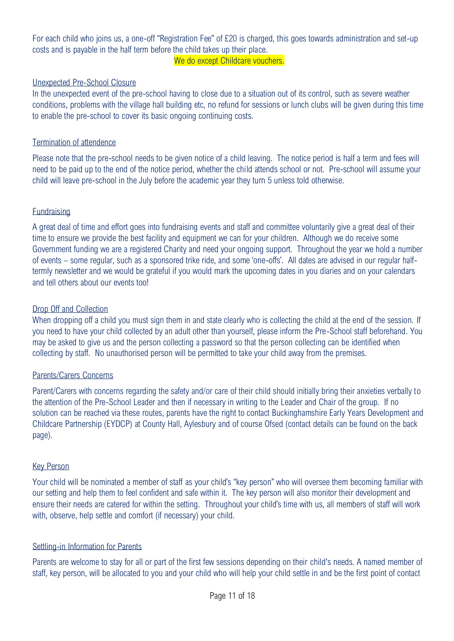For each child who joins us, a one-off "Registration Fee" of £20 is charged, this goes towards administration and set-up costs and is payable in the half term before the child takes up their place. We do except Childcare vouchers.

#### Unexpected Pre-School Closure

In the unexpected event of the pre-school having to close due to a situation out of its control, such as severe weather conditions, problems with the village hall building etc, no refund for sessions or lunch clubs will be given during this time to enable the pre-school to cover its basic ongoing continuing costs.

#### Termination of attendence

Please note that the pre-school needs to be given notice of a child leaving. The notice period is half a term and fees will need to be paid up to the end of the notice period, whether the child attends school or not. Pre-school will assume your child will leave pre-school in the July before the academic year they turn 5 unless told otherwise.

#### **Fundraising**

A great deal of time and effort goes into fundraising events and staff and committee voluntarily give a great deal of their time to ensure we provide the best facility and equipment we can for your children. Although we do receive some Government funding we are a registered Charity and need your ongoing support. Throughout the year we hold a number of events – some regular, such as a sponsored trike ride, and some 'one-offs'. All dates are advised in our regular halftermly newsletter and we would be grateful if you would mark the upcoming dates in you diaries and on your calendars and tell others about our events too!

#### Drop Off and Collection

When dropping off a child you must sign them in and state clearly who is collecting the child at the end of the session. If you need to have your child collected by an adult other than yourself, please inform the Pre-School staff beforehand. You may be asked to give us and the person collecting a password so that the person collecting can be identified when collecting by staff. No unauthorised person will be permitted to take your child away from the premises.

### Parents/Carers Concerns

Parent/Carers with concerns regarding the safety and/or care of their child should initially bring their anxieties verbally to the attention of the Pre-School Leader and then if necessary in writing to the Leader and Chair of the group. If no solution can be reached via these routes, parents have the right to contact Buckinghamshire Early Years Development and Childcare Partnership (EYDCP) at County Hall, Aylesbury and of course Ofsed (contact details can be found on the back page).

#### Key Person

Your child will be nominated a member of staff as your child's "key person" who will oversee them becoming familiar with our setting and help them to feel confident and safe within it. The key person will also monitor their development and ensure their needs are catered for within the setting. Throughout your child's time with us, all members of staff will work with, observe, help settle and comfort (if necessary) your child.

### Settling-in Information for Parents

Parents are welcome to stay for all or part of the first few sessions depending on their child's needs. A named member of staff, key person, will be allocated to you and your child who will help your child settle in and be the first point of contact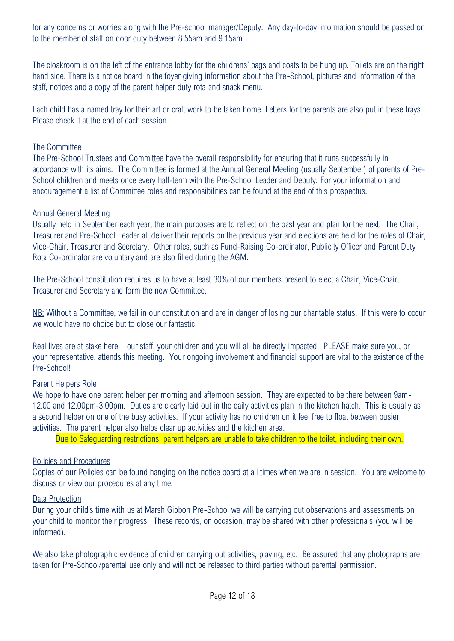for any concerns or worries along with the Pre-school manager/Deputy. Any day-to-day information should be passed on to the member of staff on door duty between 8.55am and 9.15am.

The cloakroom is on the left of the entrance lobby for the childrens' bags and coats to be hung up. Toilets are on the right hand side. There is a notice board in the foyer giving information about the Pre-School, pictures and information of the staff, notices and a copy of the parent helper duty rota and snack menu.

Each child has a named tray for their art or craft work to be taken home. Letters for the parents are also put in these trays. Please check it at the end of each session.

# The Committee

The Pre-School Trustees and Committee have the overall responsibility for ensuring that it runs successfully in accordance with its aims. The Committee is formed at the Annual General Meeting (usually September) of parents of Pre-School children and meets once every half-term with the Pre-School Leader and Deputy. For your information and encouragement a list of Committee roles and responsibilities can be found at the end of this prospectus.

### Annual General Meeting

Usually held in September each year, the main purposes are to reflect on the past year and plan for the next. The Chair, Treasurer and Pre-School Leader all deliver their reports on the previous year and elections are held for the roles of Chair, Vice-Chair, Treasurer and Secretary. Other roles, such as Fund-Raising Co-ordinator, Publicity Officer and Parent Duty Rota Co-ordinator are voluntary and are also filled during the AGM.

The Pre-School constitution requires us to have at least 30% of our members present to elect a Chair, Vice-Chair, Treasurer and Secretary and form the new Committee.

NB: Without a Committee, we fail in our constitution and are in danger of losing our charitable status. If this were to occur we would have no choice but to close our fantastic

Real lives are at stake here – our staff, your children and you will all be directly impacted. PLEASE make sure you, or your representative, attends this meeting. Your ongoing involvement and financial support are vital to the existence of the Pre-School!

### Parent Helpers Role

We hope to have one parent helper per morning and afternoon session. They are expected to be there between 9am-12.00 and 12.00pm-3.00pm. Duties are clearly laid out in the daily activities plan in the kitchen hatch. This is usually as a second helper on one of the busy activities. If your activity has no children on it feel free to float between busier activities. The parent helper also helps clear up activities and the kitchen area.

Due to Safeguarding restrictions, parent helpers are unable to take children to the toilet, including their own.

# Policies and Procedures

Copies of our Policies can be found hanging on the notice board at all times when we are in session. You are welcome to discuss or view our procedures at any time.

### Data Protection

During your child's time with us at Marsh Gibbon Pre-School we will be carrying out observations and assessments on your child to monitor their progress. These records, on occasion, may be shared with other professionals (you will be informed).

We also take photographic evidence of children carrying out activities, playing, etc. Be assured that any photographs are taken for Pre-School/parental use only and will not be released to third parties without parental permission.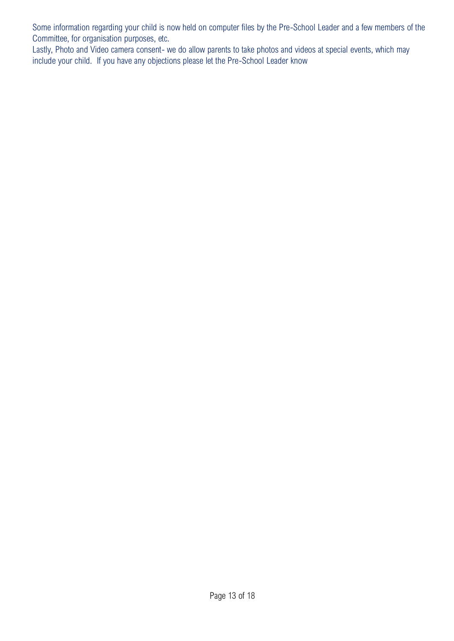Some information regarding your child is now held on computer files by the Pre-School Leader and a few members of the Committee, for organisation purposes, etc.

Lastly, Photo and Video camera consent- we do allow parents to take photos and videos at special events, which may include your child. If you have any objections please let the Pre-School Leader know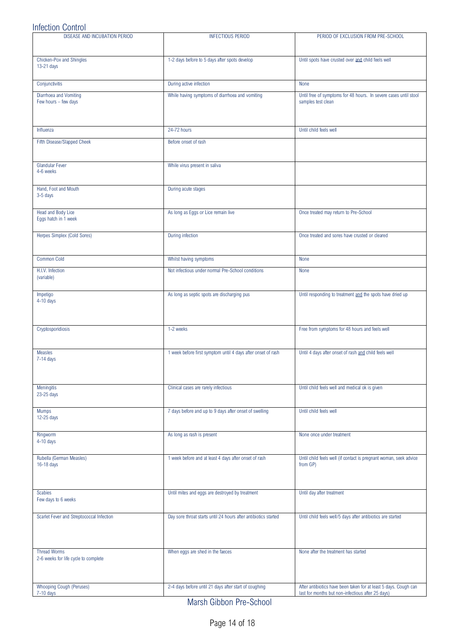# Infection Control

| DISEASE AND INCUBATION PERIOD                               | <b>INFECTIOUS PERIOD</b>                                        | PERIOD OF EXCLUSION FROM PRE-SCHOOL                                                    |
|-------------------------------------------------------------|-----------------------------------------------------------------|----------------------------------------------------------------------------------------|
| Chicken-Pox and Shingles<br>13-21 days                      | 1-2 days before to 5 days after spots develop                   | Until spots have crusted over and child feels well                                     |
| Conjunctivitis                                              | During active infection                                         | None                                                                                   |
| Diarrhoea and Vomiting<br>Few hours - few days              | While having symptoms of diarrhoea and vomiting                 | Until free of symptoms for 48 hours. In severe cases until stool<br>samples test clean |
| Influenza                                                   | 24-72 hours                                                     | Until child feels well                                                                 |
| Fifth Disease/Slapped Cheek                                 | Before onset of rash                                            |                                                                                        |
| Glandular Fever<br>4-6 weeks                                | While virus present in saliva                                   |                                                                                        |
| Hand, Foot and Mouth<br>3-5 days                            | During acute stages                                             |                                                                                        |
| Head and Body Lice<br>Eggs hatch in 1 week                  | As long as Eggs or Lice remain live                             | Once treated may return to Pre-School                                                  |
| Herpes Simplex (Cold Sores)                                 | During infection                                                | Once treated and sores have crusted or cleared                                         |
| <b>Common Cold</b>                                          | Whilst having symptoms                                          | None                                                                                   |
| H.I.V. Infection<br>(variable)                              | Not infectious under normal Pre-School conditions               | None                                                                                   |
| Impetigo<br>$4-10$ days                                     | As long as septic spots are discharging pus                     | Until responding to treatment and the spots have dried up                              |
| Cryptosporidiosis                                           | 1-2 weeks                                                       | Free from symptoms for 48 hours and feels well                                         |
| <b>Measles</b><br>$7-14$ days                               | 1 week before first symptom until 4 days after onset of rash    | Until 4 days after onset of rash and child feels well                                  |
| Meningitis<br>23-25 days                                    | Clinical cases are rarely infectious                            | Until child feels well and medical ok is given                                         |
| <b>Mumps</b><br>12-25 days                                  | 7 days before and up to 9 days after onset of swelling          | Until child feels well                                                                 |
| Ringworm<br>4-10 days                                       | As long as rash is present                                      | None once under treatment                                                              |
| Rubella (German Measles)<br>16-18 days                      | 1 week before and at least 4 days after onset of rash           | Until child feels well (if contact is pregnant woman, seek advice<br>from GP)          |
| <b>Scabies</b><br>Few days to 6 weeks                       | Until mites and eggs are destroyed by treatment                 | Until day after treatment                                                              |
| Scarlet Fever and Streptococcal Infection                   | Day sore throat starts until 24 hours after antibiotics started | Until child feels well/5 days after antibiotics are started                            |
| <b>Thread Worms</b><br>2-6 weeks for life cycle to complete | When eggs are shed in the faeces                                | None after the treatment has started                                                   |
| Whooping Cough (Peruses)                                    | 2-4 days before until 21 days after start of coughing           | After antibiotics have been taken for at least 5 days. Cough can                       |
| 7-10 days                                                   |                                                                 | last for months but non-infectious after 25 days)                                      |

Marsh Gibbon Pre-School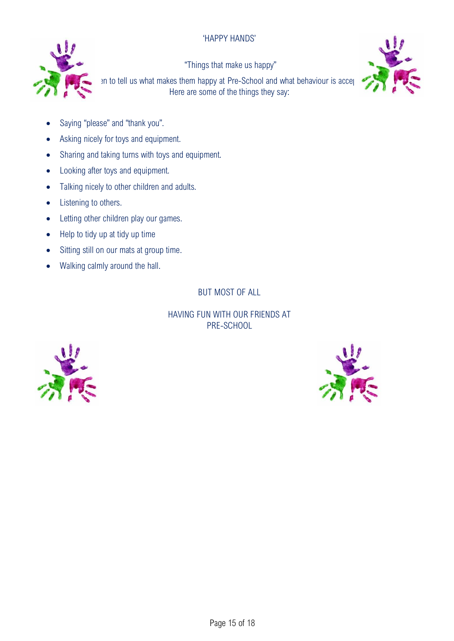# 'HAPPY HANDS'



"Things that make us happy"

In to tell us what makes them happy at Pre-School and what behaviour is acceptable at Pre-School. Here are some of the things they say:



- Saying "please" and "thank you".
- Asking nicely for toys and equipment.
- Sharing and taking turns with toys and equipment.
- Looking after toys and equipment.
- Talking nicely to other children and adults.
- Listening to others.
- Letting other children play our games.
- Help to tidy up at tidy up time
- Sitting still on our mats at group time.
- Walking calmly around the hall.

BUT MOST OF ALL

# HAVING FUN WITH OUR FRIENDS AT PRE-SCHOOL



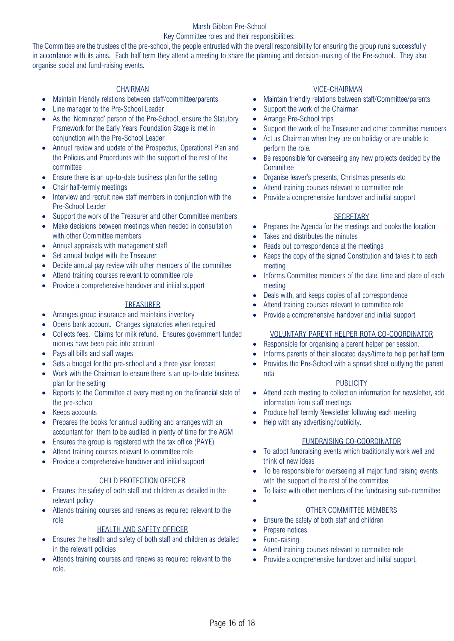# Marsh Gibbon Pre-School

#### Key Committee roles and their responsibilities:

The Committee are the trustees of the pre-school, the people entrusted with the overall responsibility for ensuring the group runs successfully in accordance with its aims. Each half term they attend a meeting to share the planning and decision-making of the Pre-school. They also organise social and fund-raising events.

- Maintain friendly relations between staff/committee/parents
- Line manager to the Pre-School Leader
- As the 'Nominated' person of the Pre-School, ensure the Statutory Framework for the Early Years Foundation Stage is met in conjunction with the Pre-School Leader
- Annual review and update of the Prospectus, Operational Plan and the Policies and Procedures with the support of the rest of the committee
- Ensure there is an up-to-date business plan for the setting
- Chair half-termly meetings
- Interview and recruit new staff members in conjunction with the Pre-School Leader
- Support the work of the Treasurer and other Committee members
- Make decisions between meetings when needed in consultation with other Committee members
- Annual appraisals with management staff
- Set annual budget with the Treasurer
- Decide annual pay review with other members of the committee
- Attend training courses relevant to committee role
- Provide a comprehensive handover and initial support

#### TREASURER

- Arranges group insurance and maintains inventory
- Opens bank account. Changes signatories when required
- Collects fees. Claims for milk refund. Ensures government funded monies have been paid into account
- Pays all bills and staff wages
- Sets a budget for the pre-school and a three year forecast
- Work with the Chairman to ensure there is an up-to-date business plan for the setting
- Reports to the Committee at every meeting on the financial state of the pre-school
- Keeps accounts
- Prepares the books for annual auditing and arranges with an accountant for them to be audited in plenty of time for the AGM
- Ensures the group is registered with the tax office (PAYE)
- Attend training courses relevant to committee role
- Provide a comprehensive handover and initial support

#### CHILD PROTECTION OFFICER

- Ensures the safety of both staff and children as detailed in the relevant policy
- Attends training courses and renews as required relevant to the role

#### HEALTH AND SAFETY OFFICER

- Ensures the health and safety of both staff and children as detailed in the relevant policies
- Attends training courses and renews as required relevant to the role.

#### CHAIRMAN VICE-CHAIRMAN

- Maintain friendly relations between staff/Committee/parents
- Support the work of the Chairman
- Arrange Pre-School trips
- Support the work of the Treasurer and other committee members
- Act as Chairman when they are on holiday or are unable to perform the role.
- Be responsible for overseeing any new projects decided by the **Committee**
- Organise leaver's presents, Christmas presents etc
- Attend training courses relevant to committee role
- Provide a comprehensive handover and initial support

#### **SECRETARY**

- Prepares the Agenda for the meetings and books the location
- Takes and distributes the minutes
- Reads out correspondence at the meetings
- Keeps the copy of the signed Constitution and takes it to each meeting
- Informs Committee members of the date, time and place of each meeting
- Deals with, and keeps copies of all correspondence
- Attend training courses relevant to committee role
- Provide a comprehensive handover and initial support

#### VOLUNTARY PARENT HELPER ROTA CO-COORDINATOR

- Responsible for organising a parent helper per session.
- Informs parents of their allocated days/time to help per half term
- Provides the Pre-School with a spread sheet outlying the parent rota

#### **PUBLICITY**

- Attend each meeting to collection information for newsletter, add information from staff meetings
- Produce half termly Newsletter following each meeting
- Help with any advertising/publicity.

#### FUNDRAISING CO-COORDINATOR

- To adopt fundraising events which traditionally work well and think of new ideas
- To be responsible for overseeing all major fund raising events with the support of the rest of the committee
- To liaise with other members of the fundraising sub-committee
- •

# OTHER COMMITTEE MEMBERS

• Ensure the safety of both staff and children

### Prepare notices

- Fund-raising
- Attend training courses relevant to committee role
- Provide a comprehensive handover and initial support.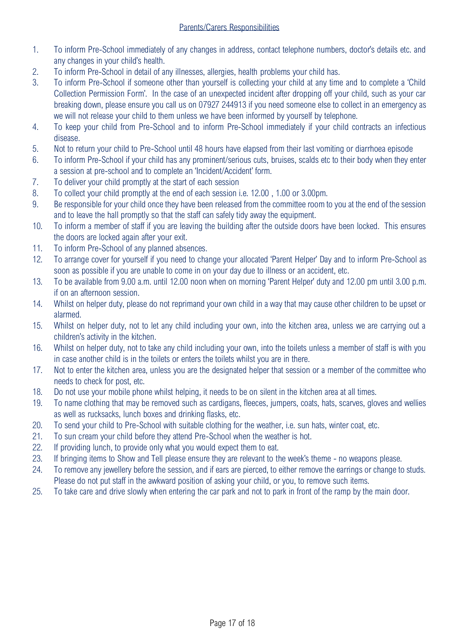- 1. To inform Pre-School immediately of any changes in address, contact telephone numbers, doctor's details etc. and any changes in your child's health.
- 2. To inform Pre-School in detail of any illnesses, allergies, health problems your child has.
- 3. To inform Pre-School if someone other than yourself is collecting your child at any time and to complete a 'Child Collection Permission Form'. In the case of an unexpected incident after dropping off your child, such as your car breaking down, please ensure you call us on 07927 244913 if you need someone else to collect in an emergency as we will not release your child to them unless we have been informed by yourself by telephone.
- 4. To keep your child from Pre-School and to inform Pre-School immediately if your child contracts an infectious disease.
- 5. Not to return your child to Pre-School until 48 hours have elapsed from their last vomiting or diarrhoea episode
- 6. To inform Pre-School if your child has any prominent/serious cuts, bruises, scalds etc to their body when they enter a session at pre-school and to complete an 'Incident/Accident' form.
- 7. To deliver your child promptly at the start of each session
- 8. To collect your child promptly at the end of each session i.e. 12.00 , 1.00 or 3.00pm.
- 9. Be responsible for your child once they have been released from the committee room to you at the end of the session and to leave the hall promptly so that the staff can safely tidy away the equipment.
- 10. To inform a member of staff if you are leaving the building after the outside doors have been locked. This ensures the doors are locked again after your exit.
- 11. To inform Pre-School of any planned absences.
- 12. To arrange cover for yourself if you need to change your allocated 'Parent Helper' Day and to inform Pre-School as soon as possible if you are unable to come in on your day due to illness or an accident, etc.
- 13. To be available from 9.00 a.m. until 12.00 noon when on morning 'Parent Helper' duty and 12.00 pm until 3.00 p.m. if on an afternoon session.
- 14. Whilst on helper duty, please do not reprimand your own child in a way that may cause other children to be upset or alarmed.
- 15. Whilst on helper duty, not to let any child including your own, into the kitchen area, unless we are carrying out a children's activity in the kitchen.
- 16. Whilst on helper duty, not to take any child including your own, into the toilets unless a member of staff is with you in case another child is in the toilets or enters the toilets whilst you are in there.
- 17. Not to enter the kitchen area, unless you are the designated helper that session or a member of the committee who needs to check for post, etc.
- 18. Do not use your mobile phone whilst helping, it needs to be on silent in the kitchen area at all times.
- 19. To name clothing that may be removed such as cardigans, fleeces, jumpers, coats, hats, scarves, gloves and wellies as well as rucksacks, lunch boxes and drinking flasks, etc.
- 20. To send your child to Pre-School with suitable clothing for the weather, i.e. sun hats, winter coat, etc.
- 21. To sun cream your child before they attend Pre-School when the weather is hot.
- 22. If providing lunch, to provide only what you would expect them to eat.
- 23. If bringing items to Show and Tell please ensure they are relevant to the week's theme no weapons please.
- 24. To remove any jewellery before the session, and if ears are pierced, to either remove the earrings or change to studs. Please do not put staff in the awkward position of asking your child, or you, to remove such items.
- 25. To take care and drive slowly when entering the car park and not to park in front of the ramp by the main door.